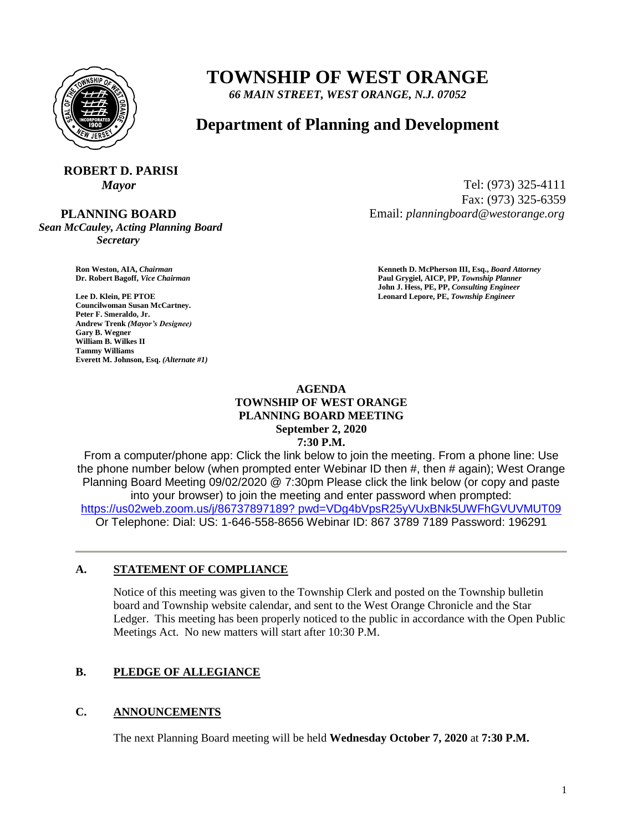

# **TOWNSHIP OF WEST ORANGE**

*66 MAIN STREET, WEST ORANGE, N.J. 07052*

## **Department of Planning and Development**

#### **ROBERT D. PARISI** *Mayor* Tel: (973) 325-4111

 **PLANNING BOARD**

*Sean McCauley, Acting Planning Board Secretary*

Fax: (973) 325-6359 Email: *planningboard@westorange.org*

**Councilwoman Susan McCartney. Peter F. Smeraldo, Jr. Andrew Trenk** *(Mayor's Designee)* **Gary B. Wegner William B. Wilkes II Tammy Williams Everett M. Johnson, Esq.** *(Alternate #1)*

**Ron Weston, AIA,** *Chairman* **Kenneth D. McPherson III, Esq.,** *Board Attorney* **Dr. Robert Bagoff,** *Vice Chairman* **Paul Grygiel, AICP, PP,** *Township Planner* **John J. Hess, PE, PP,** *Consulting Engineer* **Lee D. Klein, PE PTOE Leonard Lepore, PE,** *Township Engineer*

#### **AGENDA TOWNSHIP OF WEST ORANGE PLANNING BOARD MEETING September 2, 2020 7:30 P.M.**

From a computer/phone app: Click the link below to join the meeting. From a phone line: Use the phone number below (when prompted enter Webinar ID then #, then # again); West Orange Planning Board Meeting 09/02/2020 @ 7:30pm Please click the link below (or copy and paste into your browser) to join the meeting and enter password when prompted: [https://us02web.zoom.us/j/86737897189? pwd=VDg4bVpsR25yVUxBNk5UWFhGVUVMUT09](https://us02web.zoom.us/j/86737897189?%20pwd=VDg4bVpsR25yVUxBNk5UWFhGVUVMUT09%20) Or Telephone: Dial: US: 1-646-558-8656 Webinar ID: 867 3789 7189 Password: 196291 

## **A. STATEMENT OF COMPLIANCE**

Notice of this meeting was given to the Township Clerk and posted on the Township bulletin board and Township website calendar, and sent to the West Orange Chronicle and the Star Ledger. This meeting has been properly noticed to the public in accordance with the Open Public Meetings Act. No new matters will start after 10:30 P.M.

## **B. PLEDGE OF ALLEGIANCE**

## **C. ANNOUNCEMENTS**

The next Planning Board meeting will be held **Wednesday October 7, 2020** at **7:30 P.M.**